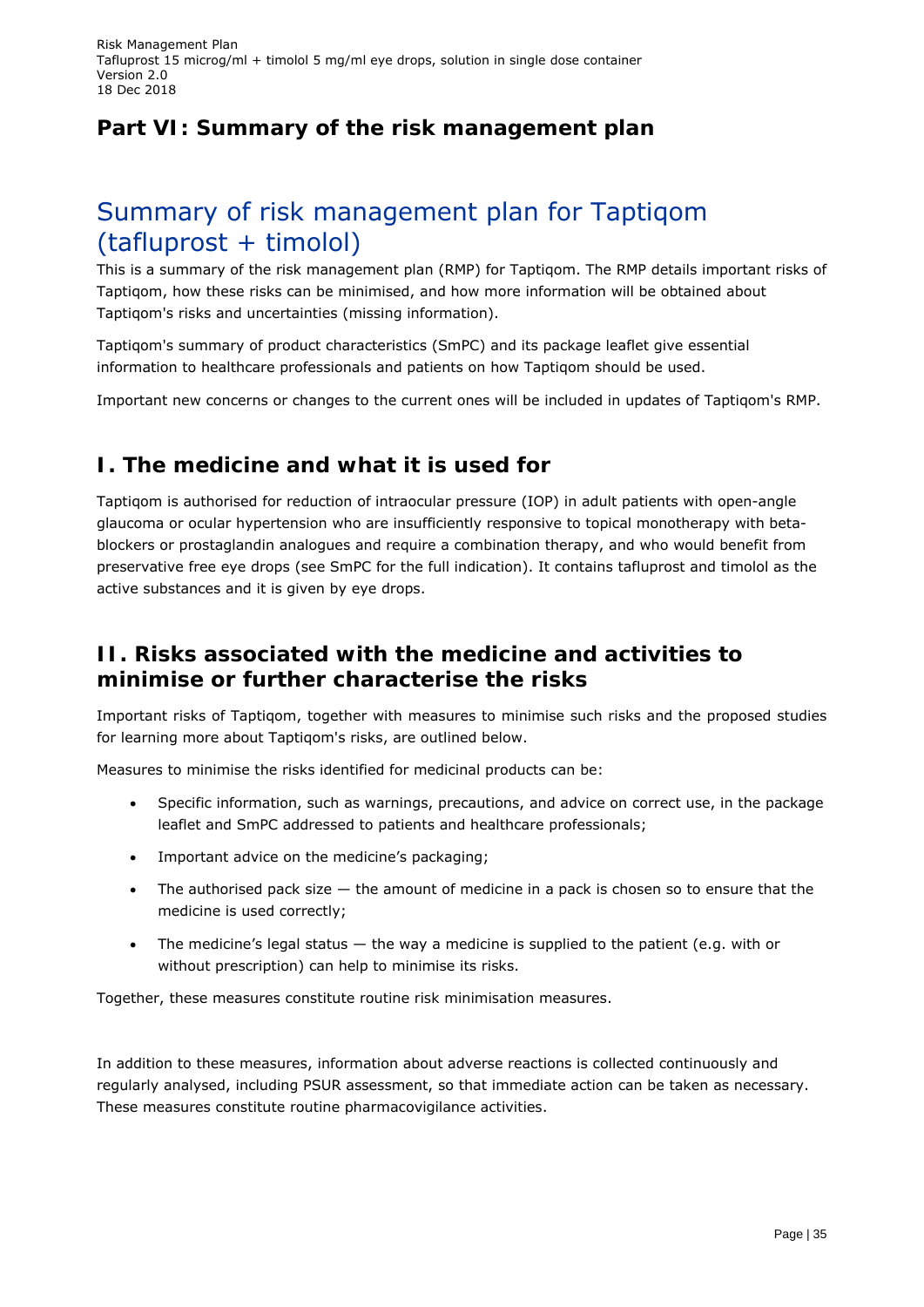# **Part VI: Summary of the risk management plan**

# Summary of risk management plan for Taptiqom (tafluprost + timolol)

This is a summary of the risk management plan (RMP) for Taptiqom. The RMP details important risks of Taptiqom, how these risks can be minimised, and how more information will be obtained about Taptiqom's risks and uncertainties (missing information).

Taptiqom's summary of product characteristics (SmPC) and its package leaflet give essential information to healthcare professionals and patients on how Taptiqom should be used.

Important new concerns or changes to the current ones will be included in updates of Taptiqom's RMP.

# **I. The medicine and what it is used for**

Taptiqom is authorised for reduction of intraocular pressure (IOP) in adult patients with open-angle glaucoma or ocular hypertension who are insufficiently responsive to topical monotherapy with betablockers or prostaglandin analogues and require a combination therapy, and who would benefit from preservative free eye drops (see SmPC for the full indication). It contains tafluprost and timolol as the active substances and it is given by eye drops.

# **II. Risks associated with the medicine and activities to minimise or further characterise the risks**

Important risks of Taptiqom, together with measures to minimise such risks and the proposed studies for learning more about Taptiqom's risks, are outlined below.

Measures to minimise the risks identified for medicinal products can be:

- Specific information, such as warnings, precautions, and advice on correct use, in the package leaflet and SmPC addressed to patients and healthcare professionals;
- Important advice on the medicine's packaging;
- The authorised pack size  $-$  the amount of medicine in a pack is chosen so to ensure that the medicine is used correctly;
- The medicine's legal status  $-$  the way a medicine is supplied to the patient (e.g. with or without prescription) can help to minimise its risks.

Together, these measures constitute *routine risk minimisation* measures.

In addition to these measures, information about adverse reactions is collected continuously and regularly analysed, including PSUR assessment, so that immediate action can be taken as necessary. These measures constitute *routine pharmacovigilance activities*.